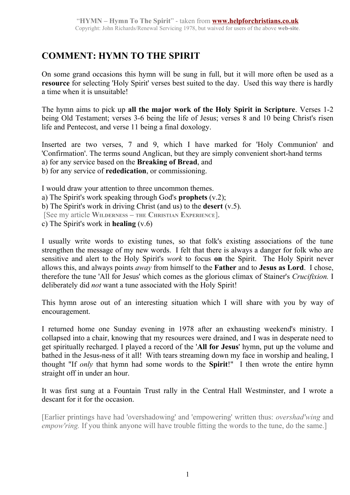## **COMMENT: HYMN TO THE SPIRIT**

On some grand occasions this hymn will be sung in full, but it will more often be used as a **resource** for selecting 'Holy Spirit' verses best suited to the day. Used this way there is hardly a time when it is unsuitable!

The hymn aims to pick up **all the major work of the Holy Spirit in Scripture**. Verses 1-2 being Old Testament; verses 3-6 being the life of Jesus; verses 8 and 10 being Christ's risen life and Pentecost, and verse 11 being a final doxology.

Inserted are two verses, 7 and 9, which I have marked for 'Holy Communion' and 'Confirmation'. The terms sound Anglican, but they are simply convenient short-hand terms a) for any service based on the **Breaking of Bread**, and b) for any service of **rededication**, or commissioning.

I would draw your attention to three uncommon themes. a) The Spirit's work speaking through God's **prophets** (v.2); b) The Spirit's work in driving Christ (and us) to the **desert** (v.5). [See my article **WILDERNESS – THE CHRISTIAN EXPERIENCE**]. c) The Spirit's work in **healing** (v.6)

I usually write words to existing tunes, so that folk's existing associations of the tune strengthen the message of my new words. I felt that there is always a danger for folk who are sensitive and alert to the Holy Spirit's *work* to focus **on** the Spirit. The Holy Spirit never allows this, and always points *away* from himself to the **Father** and to **Jesus as Lord**. I chose, therefore the tune 'All for Jesus' which comes as the glorious climax of Stainer's *Crucifixion.* I deliberately did *not* want a tune associated with the Holy Spirit!

This hymn arose out of an interesting situation which I will share with you by way of encouragement.

I returned home one Sunday evening in 1978 after an exhausting weekend's ministry. I collapsed into a chair, knowing that my resources were drained, and I was in desperate need to get spiritually recharged. I played a record of the '**All for Jesus**' hymn, put up the volume and bathed in the Jesus-ness of it all! With tears streaming down my face in worship and healing, I thought "If *only* that hymn had some words to the **Spirit**!" I then wrote the entire hymn straight off in under an hour.

It was first sung at a Fountain Trust rally in the Central Hall Westminster, and I wrote a descant for it for the occasion.

[Earlier printings have had 'overshadowing' and 'empowering' written thus: *overshad'wing* and *empow'ring.* If you think anyone will have trouble fitting the words to the tune, do the same.]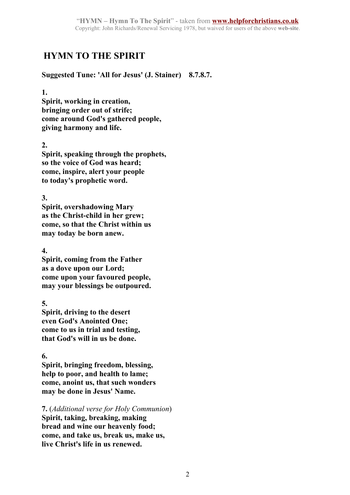# **HYMN TO THE SPIRIT**

**Suggested Tune: 'All for Jesus' (J. Stainer) 8.7.8.7.**

#### **1.**

**Spirit, working in creation, bringing order out of strife; come around God's gathered people, giving harmony and life.**

## **2.**

**Spirit, speaking through the prophets, so the voice of God was heard; come, inspire, alert your people to today's prophetic word.**

**3.**

**Spirit, overshadowing Mary as the Christ-child in her grew; come, so that the Christ within us may today be born anew.**

### **4.**

**Spirit, coming from the Father as a dove upon our Lord; come upon your favoured people, may your blessings be outpoured.**

## **5.**

**Spirit, driving to the desert even God's Anointed One; come to us in trial and testing, that God's will in us be done.**

### **6.**

**Spirit, bringing freedom, blessing, help to poor, and health to lame; come, anoint us, that such wonders may be done in Jesus' Name.**

**7.** (*Additional verse for Holy Communion*) **Spirit, taking, breaking, making bread and wine our heavenly food; come, and take us, break us, make us, live Christ's life in us renewed.**